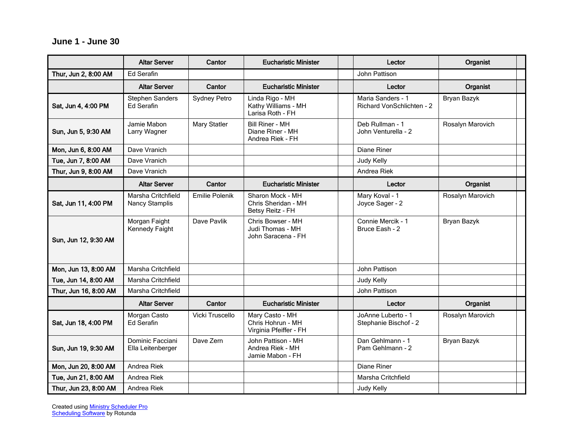## **June 1 - June 30**

|                       | <b>Altar Server</b>                         | Cantor                | <b>Eucharistic Minister</b>                                    | Lector                                                | Organist         |
|-----------------------|---------------------------------------------|-----------------------|----------------------------------------------------------------|-------------------------------------------------------|------------------|
| Thur, Jun 2, 8:00 AM  | Ed Serafin                                  |                       |                                                                | John Pattison                                         |                  |
|                       | <b>Altar Server</b>                         | Cantor                | <b>Eucharistic Minister</b>                                    | Lector                                                | Organist         |
| Sat, Jun 4, 4:00 PM   | <b>Stephen Sanders</b><br>Ed Serafin        | <b>Sydney Petro</b>   | Linda Rigo - MH<br>Kathy Williams - MH<br>Larisa Roth - FH     | Maria Sanders - 1<br><b>Richard VonSchlichten - 2</b> | Bryan Bazyk      |
| Sun, Jun 5, 9:30 AM   | Jamie Mabon<br>Larry Wagner                 | <b>Mary Statler</b>   | <b>Bill Riner - MH</b><br>Diane Riner - MH<br>Andrea Riek - FH | Deb Rullman - 1<br>John Venturella - 2                | Rosalyn Marovich |
| Mon, Jun 6, 8:00 AM   | Dave Vranich                                |                       |                                                                | <b>Diane Riner</b>                                    |                  |
| Tue, Jun 7, 8:00 AM   | Dave Vranich                                |                       |                                                                | Judy Kelly                                            |                  |
| Thur, Jun 9, 8:00 AM  | Dave Vranich                                |                       |                                                                | Andrea Riek                                           |                  |
|                       | <b>Altar Server</b>                         | Cantor                | <b>Eucharistic Minister</b>                                    | Lector                                                | Organist         |
| Sat, Jun 11, 4:00 PM  | Marsha Critchfield<br><b>Nancy Stamplis</b> | <b>Emilie Polenik</b> | Sharon Mock - MH<br>Chris Sheridan - MH<br>Betsy Reitz - FH    | Mary Koval - 1<br>Joyce Sager - 2                     | Rosalyn Marovich |
| Sun, Jun 12, 9:30 AM  | Morgan Faight<br>Kennedy Faight             | Dave Pavlik           | Chris Bowser - MH<br>Judi Thomas - MH<br>John Saracena - FH    | Connie Mercik - 1<br>Bruce Eash - 2                   | Bryan Bazyk      |
| Mon, Jun 13, 8:00 AM  | Marsha Critchfield                          |                       |                                                                | John Pattison                                         |                  |
| Tue, Jun 14, 8:00 AM  | Marsha Critchfield                          |                       |                                                                | Judy Kelly                                            |                  |
| Thur, Jun 16, 8:00 AM | Marsha Critchfield                          |                       |                                                                | John Pattison                                         |                  |
|                       | <b>Altar Server</b>                         | Cantor                | <b>Eucharistic Minister</b>                                    | Lector                                                | Organist         |
| Sat, Jun 18, 4:00 PM  | Morgan Casto<br><b>Ed Serafin</b>           | Vicki Truscello       | Mary Casto - MH<br>Chris Hohrun - MH<br>Virginia Pfeiffer - FH | JoAnne Luberto - 1<br>Stephanie Bischof - 2           | Rosalyn Marovich |
| Sun, Jun 19, 9:30 AM  | Dominic Facciani<br>Ella Leitenberger       | Dave Zern             | John Pattison - MH<br>Andrea Riek - MH<br>Jamie Mabon - FH     | Dan Gehlmann - 1<br>Pam Gehlmann - 2                  | Bryan Bazyk      |
| Mon, Jun 20, 8:00 AM  | Andrea Riek                                 |                       |                                                                | Diane Riner                                           |                  |
| Tue, Jun 21, 8:00 AM  | Andrea Riek                                 |                       |                                                                | Marsha Critchfield                                    |                  |
| Thur, Jun 23, 8:00 AM | Andrea Riek                                 |                       |                                                                | Judy Kelly                                            |                  |